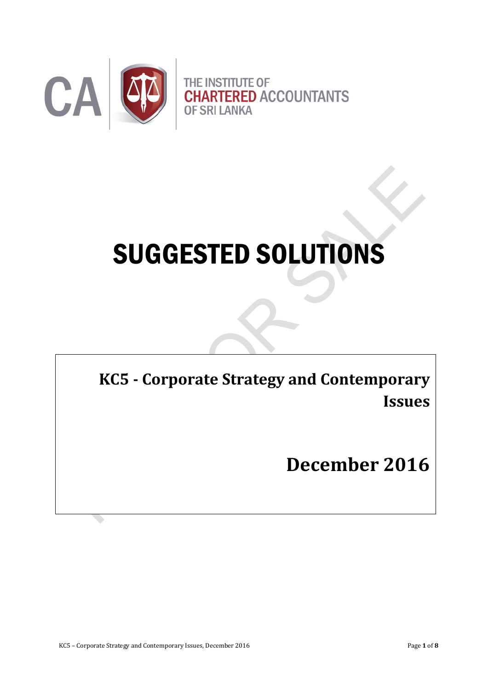

# SUGGESTED SOLUTIONS

THE INSTITUTE OF CHARTER OF CHARTER OF CHARTER OF CHARTERS OF STATISTICS. **KC5 - Corporate Strategy and Contemporary Issues** 

**December 2016**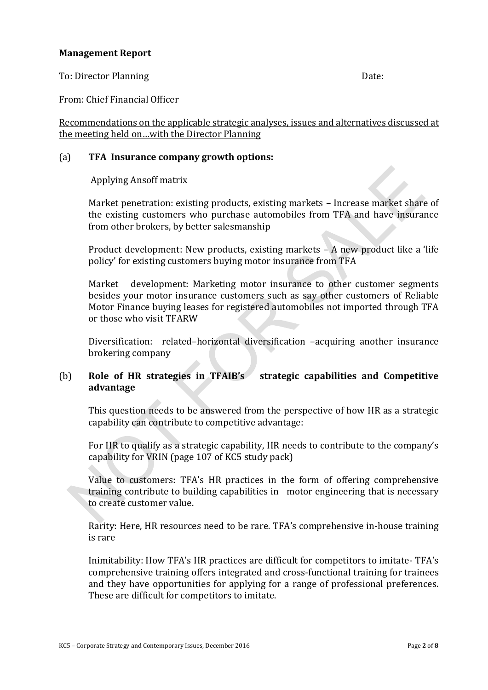#### **Management Report**

To: Director Planning Date:

From: Chief Financial Officer

Recommendations on the applicable strategic analyses, issues and alternatives discussed at the meeting held on…with the Director Planning

#### (a) **TFA Insurance company growth options:**

Applying Ansoff matrix

Market penetration: existing products, existing markets – Increase market share of the existing customers who purchase automobiles from TFA and have insurance from other brokers, by better salesmanship

Product development: New products, existing markets – A new product like a 'life policy' for existing customers buying motor insurance from TFA

Market development: Marketing motor insurance to other customer segments besides your motor insurance customers such as say other customers of Reliable Motor Finance buying leases for registered automobiles not imported through TFA or those who visit TFARW

Diversification: related–horizontal diversification –acquiring another insurance brokering company

#### (b) **Role of HR strategies in TFAIB's strategic capabilities and Competitive advantage**

This question needs to be answered from the perspective of how HR as a strategic capability can contribute to competitive advantage:

For HR to qualify as a strategic capability, HR needs to contribute to the company's capability for VRIN (page 107 of KC5 study pack)

Value to customers: TFA's HR practices in the form of offering comprehensive training contribute to building capabilities in motor engineering that is necessary to create customer value.

Rarity: Here, HR resources need to be rare. TFA's comprehensive in-house training is rare

Inimitability: How TFA's HR practices are difficult for competitors to imitate- TFA's comprehensive training offers integrated and cross-functional training for trainees and they have opportunities for applying for a range of professional preferences. These are difficult for competitors to imitate.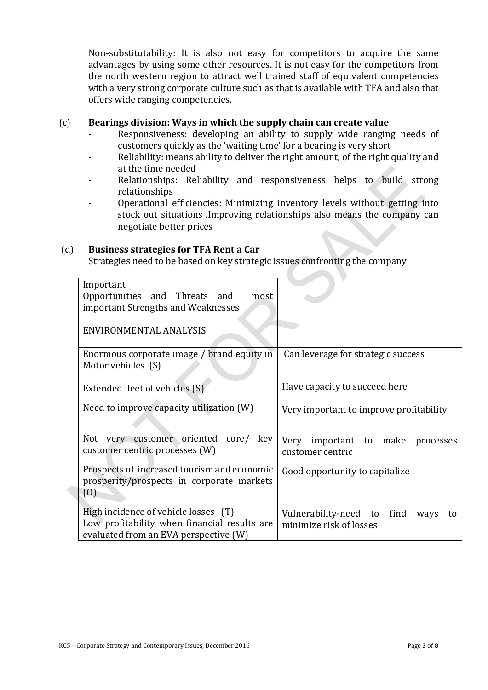Non-substitutability: It is also not easy for competitors to acquire the same advantages by using some other resources. It is not easy for the competitors from the north western region to attract well trained staff of equivalent competencies with a very strong corporate culture such as that is available with TFA and also that offers wide ranging competencies.

#### (c) **Bearings division: Ways in which the supply chain can create value**

- Responsiveness: developing an ability to supply wide ranging needs of customers quickly as the 'waiting time' for a bearing is very short
- Reliability: means ability to deliver the right amount, of the right quality and at the time needed
- Relationships: Reliability and responsiveness helps to build strong relationships
- Operational efficiencies: Minimizing inventory levels without getting into stock out situations .Improving relationships also means the company can negotiate better prices

 $\sim$ 

#### (d) **Business strategies for TFA Rent a Car**

Strategies need to be based on key strategic issues confronting the company

| Important<br>Opportunities and Threats and<br>most<br>important Strengths and Weaknesses                                      |                                                                        |  |  |
|-------------------------------------------------------------------------------------------------------------------------------|------------------------------------------------------------------------|--|--|
| ENVIRONMENTAL ANALYSIS                                                                                                        |                                                                        |  |  |
| Enormous corporate image / brand equity in<br>Motor vehicles (S)                                                              | Can leverage for strategic success                                     |  |  |
| Extended fleet of vehicles (S)                                                                                                | Have capacity to succeed here                                          |  |  |
| Need to improve capacity utilization (W)                                                                                      | Very important to improve profitability                                |  |  |
| Not very customer oriented core/ key<br>customer centric processes (W)                                                        | important to make<br>Very<br>processes<br>customer centric             |  |  |
| Prospects of increased tourism and economic<br>prosperity/prospects in corporate markets<br>(0)                               | Good opportunity to capitalize                                         |  |  |
| High incidence of vehicle losses (T)<br>Low profitability when financial results are<br>evaluated from an EVA perspective (W) | Vulnerability-need to<br>find<br>ways<br>to<br>minimize risk of losses |  |  |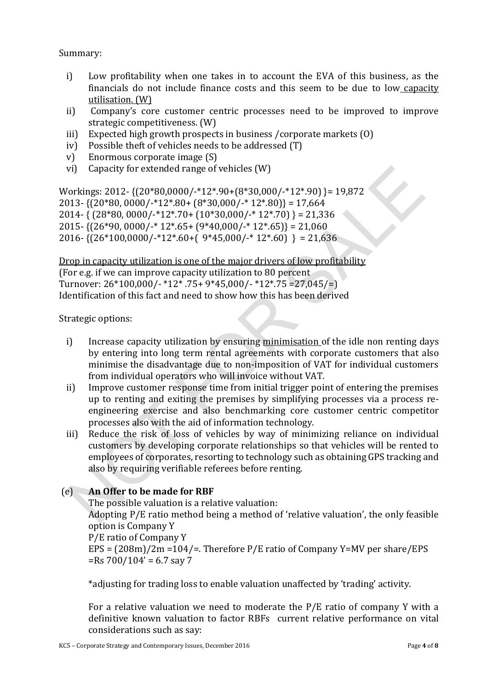Summary:

- i) Low profitability when one takes in to account the EVA of this business, as the financials do not include finance costs and this seem to be due to low capacity utilisation. (W)
- ii) Company's core customer centric processes need to be improved to improve strategic competitiveness. (W)
- iii) Expected high growth prospects in business /corporate markets (O)
- iv) Possible theft of vehicles needs to be addressed (T)
- v) Enormous corporate image (S)
- vi) Capacity for extended range of vehicles (W)

Workings: 2012- {(20\*80,0000/-\*12\*.90+(8\*30,000/-\*12\*.90) }= 19,872 2013-  $\{(20*80, 0000/\cdot*12*.80+(8*30,000/\cdot*12*.80)\}=17,664$ 2014-  $\{ (28*80, 0000/-*12*.70+(10*30,000/-*12*.70) \} = 21,336$ 2015-  $\{(26*90, 0000/\cdot*12*.65+(9*40,000/\cdot*12*.65)\}=21,060$ 2016-  $\{(26*100.0000/\cdot*12*.60+(\frac{9*45.000/\cdot*12*.60)}{8}\} = 21.636$ 

Drop in capacity utilization is one of the major drivers of low profitability (For e.g. if we can improve capacity utilization to 80 percent Turnover:  $26*100.000$ /- $*12*75+9*45.000$ /- $*12*75=27.045$ /= Identification of this fact and need to show how this has been derived

Strategic options:

- i) Increase capacity utilization by ensuring minimisation of the idle non renting days by entering into long term rental agreements with corporate customers that also minimise the disadvantage due to non-imposition of VAT for individual customers from individual operators who will invoice without VAT.
- ii) Improve customer response time from initial trigger point of entering the premises up to renting and exiting the premises by simplifying processes via a process reengineering exercise and also benchmarking core customer centric competitor processes also with the aid of information technology.
- iii) Reduce the risk of loss of vehicles by way of minimizing reliance on individual customers by developing corporate relationships so that vehicles will be rented to employees of corporates, resorting to technology such as obtaining GPS tracking and also by requiring verifiable referees before renting.

### (e) **An Offer to be made for RBF**

The possible valuation is a relative valuation:

Adopting P/E ratio method being a method of 'relative valuation', the only feasible option is Company Y

P/E ratio of Company Y

EPS = (208m)/2m =104/=. Therefore P/E ratio of Company Y=MV per share/EPS  $=$ Rs 700/104' = 6.7 say 7

\*adjusting for trading loss to enable valuation unaffected by 'trading' activity.

For a relative valuation we need to moderate the P/E ratio of company Y with a definitive known valuation to factor RBFs current relative performance on vital considerations such as say: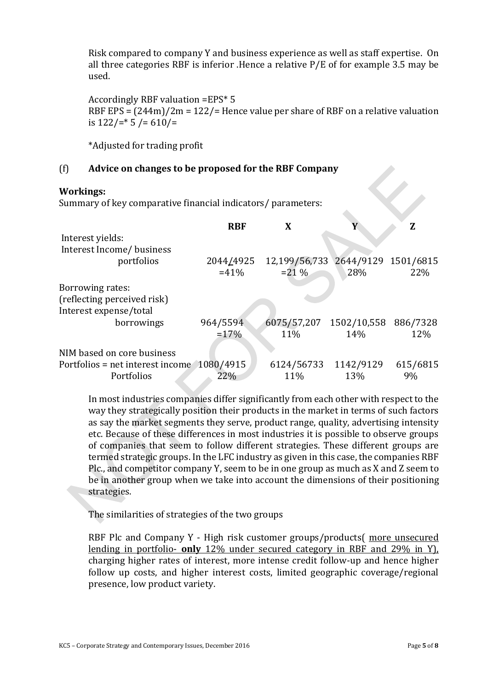Risk compared to company Y and business experience as well as staff expertise. On all three categories RBF is inferior .Hence a relative P/E of for example 3.5 may be used.

Accordingly RBF valuation =EPS\* 5 RBF EPS = (244m)/2m = 122/= Hence value per share of RBF on a relative valuation is 122/=\* 5 /= 610/=

\*Adjusted for trading profit

#### (f) **Advice on changes to be proposed for the RBF Company**

#### **Workings:**

Summary of key comparative financial indicators/ parameters:

|                                            | <b>RBF</b> | X                                 |           | Z        |
|--------------------------------------------|------------|-----------------------------------|-----------|----------|
| Interest yields:                           |            |                                   |           |          |
| Interest Income/ business                  |            |                                   |           |          |
| portfolios                                 | 2044/4925  | 12,199/56,733 2644/9129 1501/6815 |           |          |
|                                            | $=41%$     | $= 21 \%$                         | 28%       | 22%      |
| Borrowing rates:                           |            |                                   |           |          |
| (reflecting perceived risk)                |            |                                   |           |          |
| Interest expense/total                     |            |                                   |           |          |
| borrowings                                 | 964/5594   | 6075/57,207 1502/10,558 886/7328  |           |          |
|                                            | $=17%$     | 11%                               | 14%       | 12%      |
| NIM based on core business                 |            |                                   |           |          |
| Portfolios = net interest income 1080/4915 |            | 6124/56733                        | 1142/9129 | 615/6815 |
| Portfolios                                 | 22%        | 11%                               | 13%       | 9%       |

In most industries companies differ significantly from each other with respect to the way they strategically position their products in the market in terms of such factors as say the market segments they serve, product range, quality, advertising intensity etc. Because of these differences in most industries it is possible to observe groups of companies that seem to follow different strategies. These different groups are termed strategic groups. In the LFC industry as given in this case, the companies RBF Plc., and competitor company Y, seem to be in one group as much as X and Z seem to be in another group when we take into account the dimensions of their positioning strategies.

The similarities of strategies of the two groups

RBF Plc and Company Y - High risk customer groups/products( more unsecured lending in portfolio- **only** 12% under secured category in RBF and 29% in Y), charging higher rates of interest, more intense credit follow-up and hence higher follow up costs, and higher interest costs, limited geographic coverage/regional presence, low product variety.

 $\overline{\langle}$ 

z.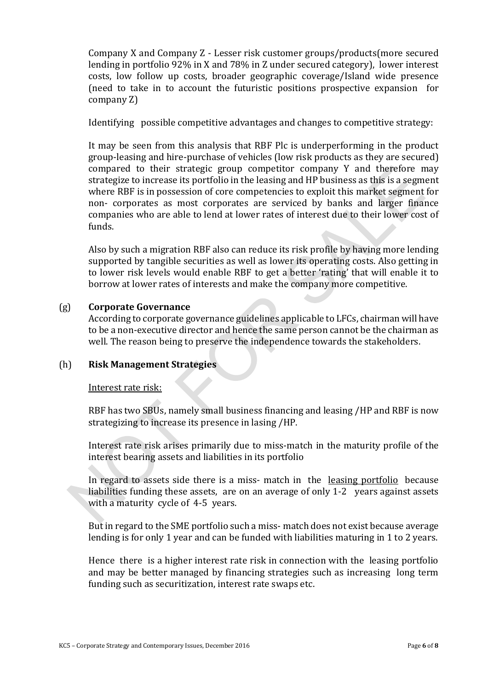Company X and Company Z - Lesser risk customer groups/products(more secured lending in portfolio 92% in X and 78% in Z under secured category), lower interest costs, low follow up costs, broader geographic coverage/Island wide presence (need to take in to account the futuristic positions prospective expansion for company Z)

Identifying possible competitive advantages and changes to competitive strategy:

It may be seen from this analysis that RBF Plc is underperforming in the product group-leasing and hire-purchase of vehicles (low risk products as they are secured) compared to their strategic group competitor company Y and therefore may strategize to increase its portfolio in the leasing and HP business as this is a segment where RBF is in possession of core competencies to exploit this market segment for non- corporates as most corporates are serviced by banks and larger finance companies who are able to lend at lower rates of interest due to their lower cost of funds.

Also by such a migration RBF also can reduce its risk profile by having more lending supported by tangible securities as well as lower its operating costs. Also getting in to lower risk levels would enable RBF to get a better 'rating' that will enable it to borrow at lower rates of interests and make the company more competitive.

#### (g) **Corporate Governance**

According to corporate governance guidelines applicable to LFCs, chairman will have to be a non-executive director and hence the same person cannot be the chairman as well. The reason being to preserve the independence towards the stakeholders.

#### (h) **Risk Management Strategies**

#### Interest rate risk:

RBF has two SBUs, namely small business financing and leasing /HP and RBF is now strategizing to increase its presence in lasing /HP.

Interest rate risk arises primarily due to miss-match in the maturity profile of the interest bearing assets and liabilities in its portfolio

In regard to assets side there is a miss- match in the leasing portfolio because liabilities funding these assets, are on an average of only 1-2 years against assets with a maturity cycle of 4-5 years.

But in regard to the SME portfolio such a miss- match does not exist because average lending is for only 1 year and can be funded with liabilities maturing in 1 to 2 years.

Hence there is a higher interest rate risk in connection with the leasing portfolio and may be better managed by financing strategies such as increasing long term funding such as securitization, interest rate swaps etc.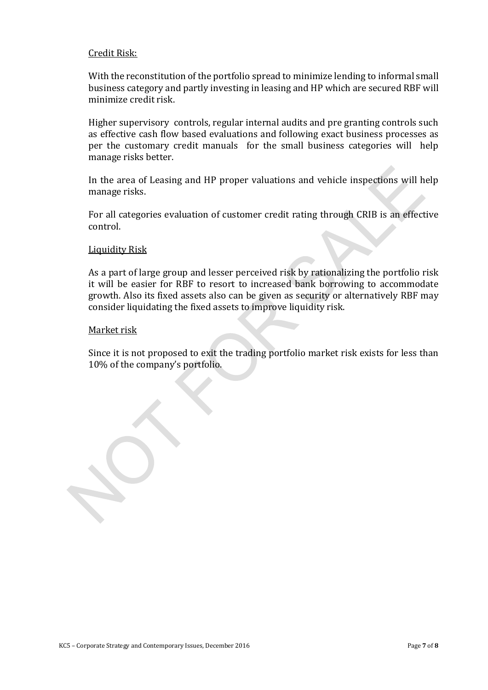#### Credit Risk:

With the reconstitution of the portfolio spread to minimize lending to informal small business category and partly investing in leasing and HP which are secured RBF will minimize credit risk.

Higher supervisory controls, regular internal audits and pre granting controls such as effective cash flow based evaluations and following exact business processes as per the customary credit manuals for the small business categories will help manage risks better.

In the area of Leasing and HP proper valuations and vehicle inspections will help manage risks.

For all categories evaluation of customer credit rating through CRIB is an effective control.

#### Liquidity Risk

As a part of large group and lesser perceived risk by rationalizing the portfolio risk it will be easier for RBF to resort to increased bank borrowing to accommodate growth. Also its fixed assets also can be given as security or alternatively RBF may consider liquidating the fixed assets to improve liquidity risk.

#### Market risk

Since it is not proposed to exit the trading portfolio market risk exists for less than 10% of the company's portfolio.